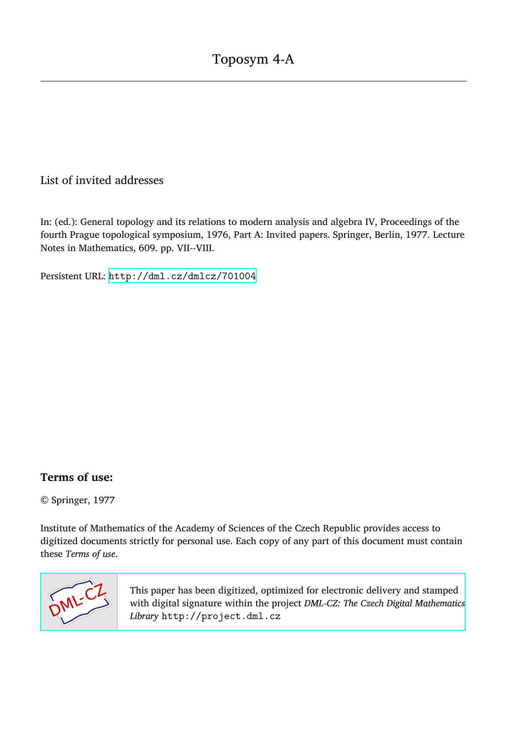## List of invited addresses

In: (ed.): General topology and its relations to modern analysis and algebra IV, Proceedings of the fourth Prague topological symposium, 1976, Part A: Invited papers. Springer, Berlin, 1977. Lecture Notes in Mathematics, 609. pp. VII--VIII.

Persistent URL: <http://dml.cz/dmlcz/701004>

## **Terms of use:**

© Springer, 1977

Institute of Mathematics of the Academy of Sciences of the Czech Republic provides access to digitized documents strictly for personal use. Each copy of any part of this document must contain these *Terms of use*.



[This paper has been digitized, optimized for electronic delivery and stamped](http://project.dml.cz) with digital signature within the project *DML-CZ: The Czech Digital Mathematics Library* http://project.dml.cz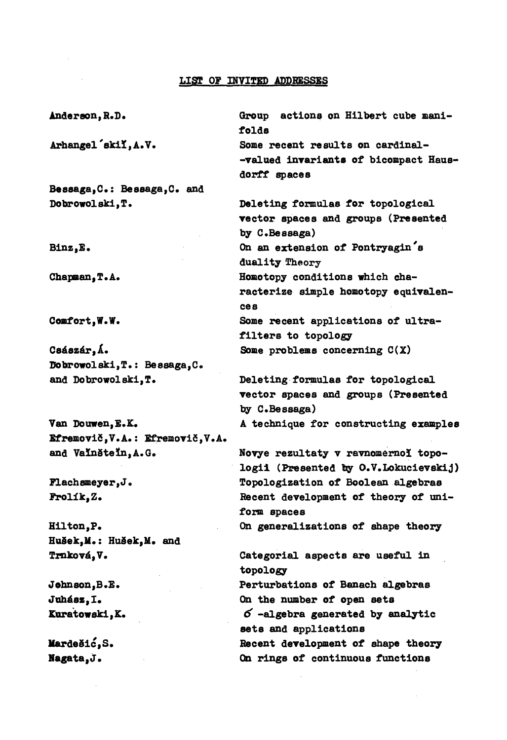## **LISI OF INVITED ADDRESSES**

**A**nd**erso**n**, R.D. Arha**n**gel 'skil, A.V. Bessaga,C: Bessaga,C a**n**d Dobrowolski,T. Bi**n**z,E.**  C**ha**p**ma**n**,T.A.**  C**omfort,W.W.**  C **á zár,Á. Dobгowolski,T.: Bessaga,**C**o**  and **Dobrowolski,T. Va**n **Douwen,E.K. Efremovič,**V**.A.: Efremovič,**V**.A. a**n**d VaInšteln,A.Go Flachsmeyer,Jo Frolík,Z. Hilto**n**,P. Hušek,M.: Hušek,M. a**n**d Tr**n**ková,V. Joh**n**so**n**,B.E. Juhász,I. Kuratowski,K.**  Group actions on Hilbert cube mani**folds Some rece**n**t results o**n **car**d**i**n**al- -valued i**n**varia**n**ts of bicom**p**act Haus**d**orff s**p**aces Deleti**n**g formulas for to**p**ological vector s**p**aces** and **grou**p**s (Prese**n**te**d by C.Bessaga) **O**n **a**n **exte**n**sio**n **of Pontryagin's duality Theory Homoto**p**y co**nd**itio**n**s which characterize sim**p**le homoto**p**y equivale**n**ces**  Some recent applications of ultra**filters to to**p**ology Some** p**roblems co**n**cer**n**i**n**g C(X) Deleti**n**g formulas for to**p**ological vector s**p**aces** and **grou**p**s (Prese**n**te**d by  $C$ . Bessaga) **A tech**n**ique for co**n**structi**n**g exam**p**les Novye rezultaty v rav**n**omer**n**ol topologii (Prese**n**te**d **by O.**V**.Lokucievskij) To**p**ologization of Boolea**n **algebras Rece**n**t** d**evelo**p**me**n**t of theory of u**n**iform s**p**aces On ge**n**eralizatio**n**s of sha**p**e theory**  C**ategorial as**p**ects are useful i**n **to**p**ology Perturbatio**n**s of Banach algebras O**n **the** n**umber of o**p**e**n **sets**  *6* **-algebra ge**n**erate**d **by a**n**alytic sets** and **a**pp**licatio**n**s Rece**n**t** d**evelopme**n**t of sha**p**e theory** 

**O**n **rings of co**n**ti**n**uous fu**n**ctio**n**s** 

**Mar**d**ešic,S. Nagata,J.**